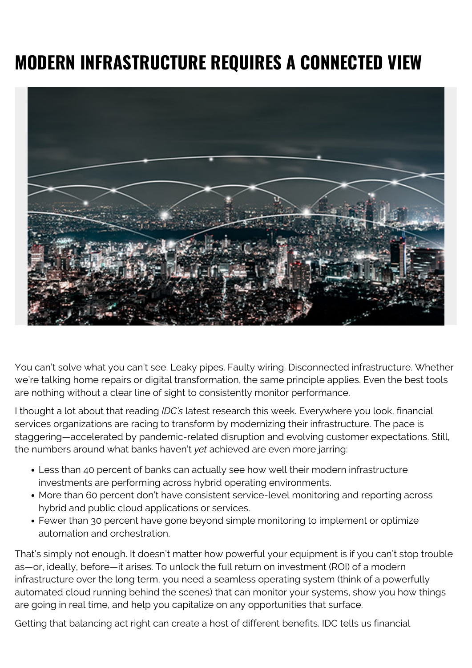## **MODERN INFRASTRUCTURE REQUIRES A CONNECTED VIEW**



You can't solve what you can't see. Leaky pipes. Faulty wiring. Disconnected infrastructure. Whether we're talking home repairs or digital transformation, the same principle applies. Even the best tools are nothing without a clear line of sight to consistently monitor performance.

I thought a lot about that reading *IDC's* latest research this week. Everywhere you look, financial services organizations are racing to transform by modernizing their infrastructure. The pace is staggering—accelerated by pandemic-related disruption and evolving customer expectations. Still, the numbers around what banks haven't *yet* achieved are even more jarring:

- Less than 40 percent of banks can actually see how well their modern infrastructure investments are performing across hybrid operating environments.
- More than 60 percent don't have consistent service-level monitoring and reporting across hybrid and public cloud applications or services.
- Fewer than 30 percent have gone beyond simple monitoring to implement or optimize automation and orchestration.

That's simply not enough. It doesn't matter how powerful your equipment is if you can't stop trouble as—or, ideally, before—it arises. To unlock the full return on investment (ROI) of a modern infrastructure over the long term, you need a seamless operating system (think of a powerfully automated cloud running behind the scenes) that can monitor your systems, show you how things are going in real time, and help you capitalize on any opportunities that surface.

Getting that balancing act right can create a host of different benefits. IDC tells us financial